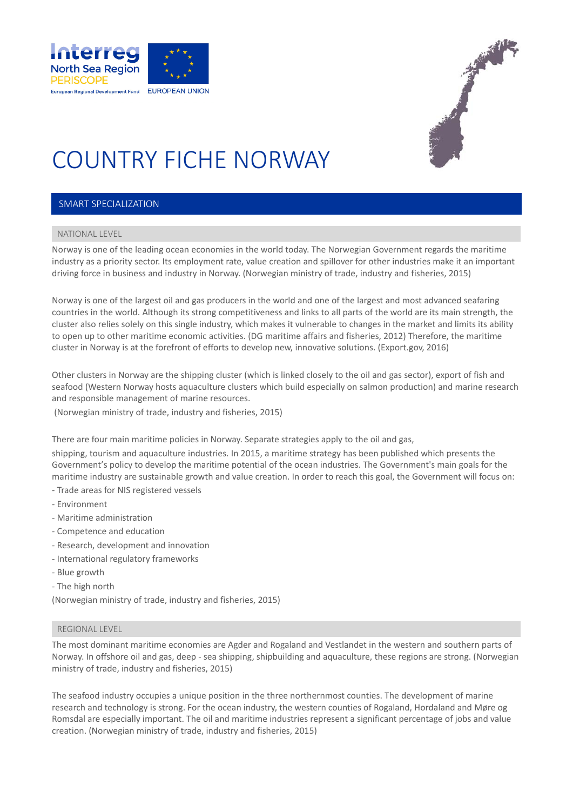



# COUNTRY FICHE NORWAY

#### SMART SPECIALIZATION

### NATIONAL LEVEL

Norway is one of the leading ocean economies in the world today. The Norwegian Government regards the maritime industry as a priority sector. Its employment rate, value creation and spillover for other industries make it an important driving force in business and industry in Norway. (Norwegian ministry of trade, industry and fisheries, 2015)

Norway is one of the largest oil and gas producers in the world and one of the largest and most advanced seafaring countries in the world. Although its strong competitiveness and links to all parts of the world are its main strength, the cluster also relies solely on this single industry, which makes it vulnerable to changes in the market and limits its ability to open up to other maritime economic activities. (DG maritime affairs and fisheries, 2012) Therefore, the maritime cluster in Norway is at the forefront of efforts to develop new, innovative solutions. (Export.gov, 2016)

Other clusters in Norway are the shipping cluster (which is linked closely to the oil and gas sector), export of fish and seafood (Western Norway hosts aquaculture clusters which build especially on salmon production) and marine research and responsible management of marine resources.

(Norwegian ministry of trade, industry and fisheries, 2015)

There are four main maritime policies in Norway. Separate strategies apply to the oil and gas,

shipping, tourism and aquaculture industries. In 2015, a maritime strategy has been published which presents the Government's policy to develop the maritime potential of the ocean industries. The Government's main goals for the maritime industry are sustainable growth and value creation. In order to reach this goal, the Government will focus on: - Trade areas for NIS registered vessels

- Environment
- Maritime administration
- Competence and education
- Research, development and innovation
- International regulatory frameworks
- Blue growth
- The high north

(Norwegian ministry of trade, industry and fisheries, 2015)

#### REGIONAL LEVEL

The most dominant maritime economies are Agder and Rogaland and Vestlandet in the western and southern parts of Norway. In offshore oil and gas, deep - sea shipping, shipbuilding and aquaculture, these regions are strong. (Norwegian ministry of trade, industry and fisheries, 2015)

The seafood industry occupies a unique position in the three northernmost counties. The development of marine research and technology is strong. For the ocean industry, the western counties of Rogaland, Hordaland and Møre og Romsdal are especially important. The oil and maritime industries represent a significant percentage of jobs and value creation. (Norwegian ministry of trade, industry and fisheries, 2015)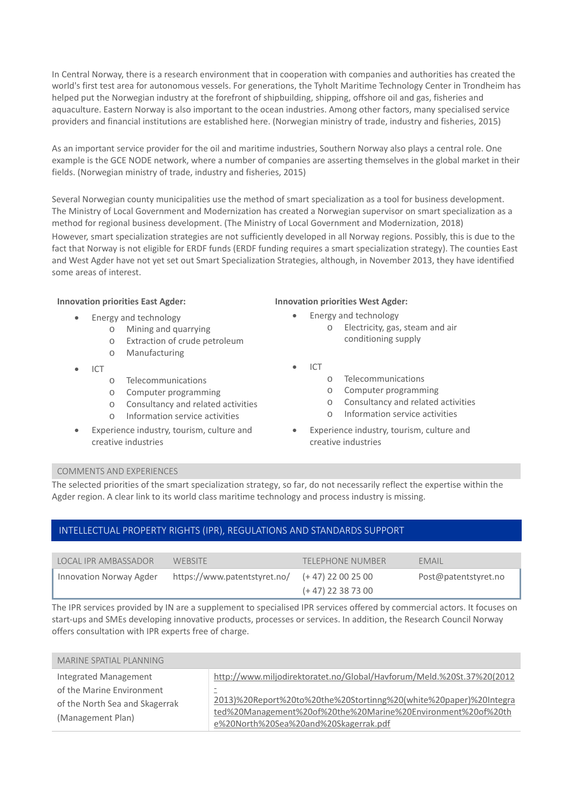In Central Norway, there is a research environment that in cooperation with companies and authorities has created the world's first test area for autonomous vessels. For generations, the Tyholt Maritime Technology Center in Trondheim has helped put the Norwegian industry at the forefront of shipbuilding, shipping, offshore oil and gas, fisheries and aquaculture. Eastern Norway is also important to the ocean industries. Among other factors, many specialised service providers and financial institutions are established here. (Norwegian ministry of trade, industry and fisheries, 2015)

As an important service provider for the oil and maritime industries, Southern Norway also plays a central role. One example is the GCE NODE network, where a number of companies are asserting themselves in the global market in their fields. (Norwegian ministry of trade, industry and fisheries, 2015)

Several Norwegian county municipalities use the method of smart specialization as a tool for business development. The Ministry of Local Government and Modernization has created a Norwegian supervisor on smart specialization as a method for regional business development. (The Ministry of Local Government and Modernization, 2018) However, smart specialization strategies are not sufficiently developed in all Norway regions. Possibly, this is due to the fact that Norway is not eligible for ERDF funds (ERDF funding requires a smart specialization strategy). The counties East and West Agder have not yet set out Smart Specialization Strategies, although, in November 2013, they have identified some areas of interest.

- Energy and technology
	- o Mining and quarrying
		- o Extraction of crude petroleum
	- o Manufacturing
- $\bullet$  ICT
	- o Telecommunications
	- o Computer programming
	- o Consultancy and related activities
	- o Information service activities
- Experience industry, tourism, culture and creative industries

#### **Innovation priorities East Agder: Innovation priorities West Agder:**

- Energy and technology
	- o Electricity, gas, steam and air conditioning supply
- ICT
	- o Telecommunications
	- o Computer programming
	- o Consultancy and related activities
	- o Information service activities
- Experience industry, tourism, culture and creative industries

#### COMMENTS AND EXPERIENCES

The selected priorities of the smart specialization strategy, so far, do not necessarily reflect the expertise within the Agder region. A clear link to its world class maritime technology and process industry is missing.

#### INTELLECTUAL PROPERTY RIGHTS (IPR), REGULATIONS AND STANDARDS SUPPORT

| LOCAL IPR AMBASSADOR    | WEBSITE                                          | TELEPHONE NUMBER     | EMAIL                |
|-------------------------|--------------------------------------------------|----------------------|----------------------|
| Innovation Norway Agder | https://www.patentstyret.no/ $(+47)$ 22 00 25 00 | $(+ 47)$ 22 38 73 00 | Post@patentstyret.no |

The IPR services provided by IN are a supplement to specialised IPR services offered by commercial actors. It focuses on start-ups and SMEs developing innovative products, processes or services. In addition, the Research Council Norway offers consultation with IPR experts free of charge.

| MARINE SPATIAL PLANNING                                                                                   |                                                                                                                                                                                                                                                                 |
|-----------------------------------------------------------------------------------------------------------|-----------------------------------------------------------------------------------------------------------------------------------------------------------------------------------------------------------------------------------------------------------------|
| Integrated Management<br>of the Marine Environment<br>of the North Sea and Skagerrak<br>(Management Plan) | http://www.miljodirektoratet.no/Global/Havforum/Meld.%20St.37%20(2012<br>$\equiv$<br>2013)%20Report%20to%20the%20Stortinng%20(white%20paper)%20Integra<br>ted%20Management%20of%20the%20Marine%20Environment%20of%20th<br>e%20North%20Sea%20and%20Skagerrak.pdf |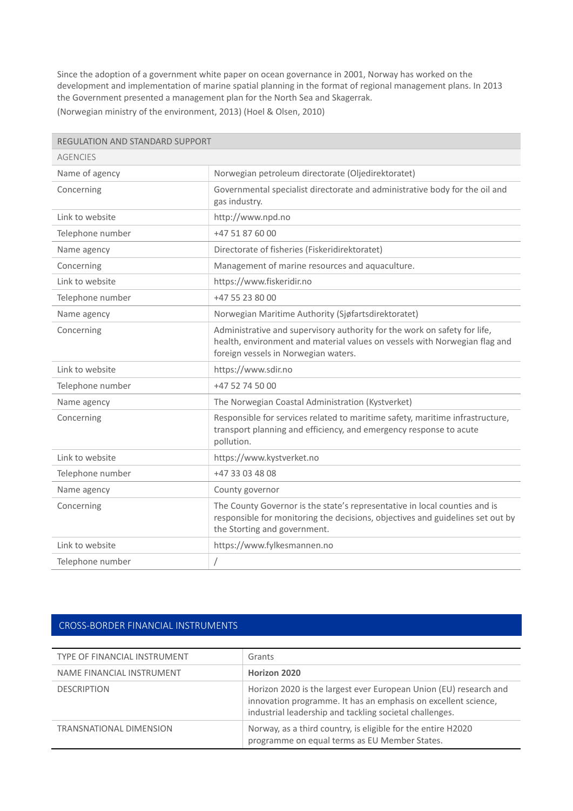Since the adoption of a government white paper on ocean governance in 2001, Norway has worked on the development and implementation of marine spatial planning in the format of regional management plans. In 2013 the Government presented a management plan for the North Sea and Skagerrak. (Norwegian ministry of the environment, 2013) (Hoel & Olsen, 2010)

| <b>REGULATION AND STANDARD SUPPORT</b> |                                                                                                                                                                                                 |
|----------------------------------------|-------------------------------------------------------------------------------------------------------------------------------------------------------------------------------------------------|
| <b>AGENCIES</b>                        |                                                                                                                                                                                                 |
| Name of agency                         | Norwegian petroleum directorate (Oljedirektoratet)                                                                                                                                              |
| Concerning                             | Governmental specialist directorate and administrative body for the oil and<br>gas industry.                                                                                                    |
| Link to website                        | http://www.npd.no                                                                                                                                                                               |
| Telephone number                       | +47 51 87 60 00                                                                                                                                                                                 |
| Name agency                            | Directorate of fisheries (Fiskeridirektoratet)                                                                                                                                                  |
| Concerning                             | Management of marine resources and aquaculture.                                                                                                                                                 |
| Link to website                        | https://www.fiskeridir.no                                                                                                                                                                       |
| Telephone number                       | +47 55 23 80 00                                                                                                                                                                                 |
| Name agency                            | Norwegian Maritime Authority (Sjøfartsdirektoratet)                                                                                                                                             |
| Concerning                             | Administrative and supervisory authority for the work on safety for life,<br>health, environment and material values on vessels with Norwegian flag and<br>foreign vessels in Norwegian waters. |
| Link to website                        | https://www.sdir.no                                                                                                                                                                             |
| Telephone number                       | +47 52 74 50 00                                                                                                                                                                                 |
| Name agency                            | The Norwegian Coastal Administration (Kystverket)                                                                                                                                               |
| Concerning                             | Responsible for services related to maritime safety, maritime infrastructure,<br>transport planning and efficiency, and emergency response to acute<br>pollution.                               |
| Link to website                        | https://www.kystverket.no                                                                                                                                                                       |
| Telephone number                       | +47 33 03 48 08                                                                                                                                                                                 |
| Name agency                            | County governor                                                                                                                                                                                 |
| Concerning                             | The County Governor is the state's representative in local counties and is<br>responsible for monitoring the decisions, objectives and guidelines set out by<br>the Storting and government.    |
| Link to website                        | https://www.fylkesmannen.no                                                                                                                                                                     |
| Telephone number                       | $\sqrt{2}$                                                                                                                                                                                      |

## CROSS‐BORDER FINANCIAL INSTRUMENTS

| TYPE OF FINANCIAL INSTRUMENT   | Grants                                                                                                                                                                                         |
|--------------------------------|------------------------------------------------------------------------------------------------------------------------------------------------------------------------------------------------|
| NAME FINANCIAL INSTRUMENT      | Horizon 2020                                                                                                                                                                                   |
| <b>DESCRIPTION</b>             | Horizon 2020 is the largest ever European Union (EU) research and<br>innovation programme. It has an emphasis on excellent science,<br>industrial leadership and tackling societal challenges. |
| <b>TRANSNATIONAL DIMENSION</b> | Norway, as a third country, is eligible for the entire H2020<br>programme on equal terms as EU Member States.                                                                                  |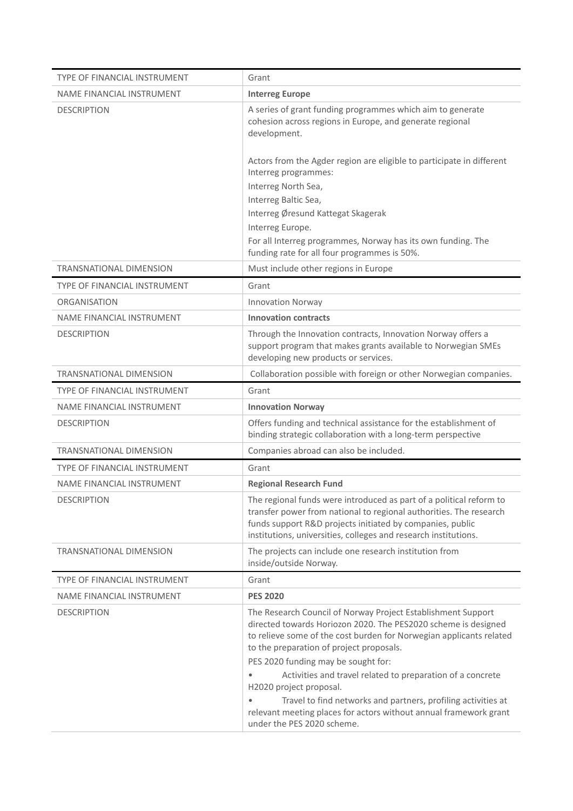| <b>TYPE OF FINANCIAL INSTRUMENT</b> | Grant                                                                                                                                                                                                                                                                     |
|-------------------------------------|---------------------------------------------------------------------------------------------------------------------------------------------------------------------------------------------------------------------------------------------------------------------------|
| NAME FINANCIAL INSTRUMENT           | <b>Interreg Europe</b>                                                                                                                                                                                                                                                    |
| <b>DESCRIPTION</b>                  | A series of grant funding programmes which aim to generate<br>cohesion across regions in Europe, and generate regional<br>development.                                                                                                                                    |
|                                     | Actors from the Agder region are eligible to participate in different<br>Interreg programmes:<br>Interreg North Sea,<br>Interreg Baltic Sea,<br>Interreg Øresund Kattegat Skagerak<br>Interreg Europe.<br>For all Interreg programmes, Norway has its own funding. The    |
|                                     | funding rate for all four programmes is 50%.                                                                                                                                                                                                                              |
| <b>TRANSNATIONAL DIMENSION</b>      | Must include other regions in Europe                                                                                                                                                                                                                                      |
| <b>TYPE OF FINANCIAL INSTRUMENT</b> | Grant                                                                                                                                                                                                                                                                     |
| <b>ORGANISATION</b>                 | <b>Innovation Norway</b>                                                                                                                                                                                                                                                  |
| NAME FINANCIAL INSTRUMENT           | <b>Innovation contracts</b>                                                                                                                                                                                                                                               |
| <b>DESCRIPTION</b>                  | Through the Innovation contracts, Innovation Norway offers a<br>support program that makes grants available to Norwegian SMEs<br>developing new products or services.                                                                                                     |
| TRANSNATIONAL DIMENSION             | Collaboration possible with foreign or other Norwegian companies.                                                                                                                                                                                                         |
| TYPE OF FINANCIAL INSTRUMENT        | Grant                                                                                                                                                                                                                                                                     |
| NAME FINANCIAL INSTRUMENT           | <b>Innovation Norway</b>                                                                                                                                                                                                                                                  |
| <b>DESCRIPTION</b>                  | Offers funding and technical assistance for the establishment of<br>binding strategic collaboration with a long-term perspective                                                                                                                                          |
| <b>TRANSNATIONAL DIMENSION</b>      | Companies abroad can also be included.                                                                                                                                                                                                                                    |
| TYPE OF FINANCIAL INSTRUMENT        | Grant                                                                                                                                                                                                                                                                     |
| NAME FINANCIAL INSTRUMENT           | <b>Regional Research Fund</b>                                                                                                                                                                                                                                             |
| <b>DESCRIPTION</b>                  | The regional funds were introduced as part of a political reform to<br>transfer power from national to regional authorities. The research<br>funds support R&D projects initiated by companies, public<br>institutions, universities, colleges and research institutions. |
| <b>TRANSNATIONAL DIMENSION</b>      | The projects can include one research institution from<br>inside/outside Norway.                                                                                                                                                                                          |
| <b>TYPE OF FINANCIAL INSTRUMENT</b> | Grant                                                                                                                                                                                                                                                                     |
| NAME FINANCIAL INSTRUMENT           | <b>PES 2020</b>                                                                                                                                                                                                                                                           |
| <b>DESCRIPTION</b>                  | The Research Council of Norway Project Establishment Support<br>directed towards Horiozon 2020. The PES2020 scheme is designed<br>to relieve some of the cost burden for Norwegian applicants related<br>to the preparation of project proposals.                         |
|                                     | PES 2020 funding may be sought for:                                                                                                                                                                                                                                       |
|                                     | Activities and travel related to preparation of a concrete<br>H2020 project proposal.                                                                                                                                                                                     |
|                                     | Travel to find networks and partners, profiling activities at<br>relevant meeting places for actors without annual framework grant<br>under the PES 2020 scheme.                                                                                                          |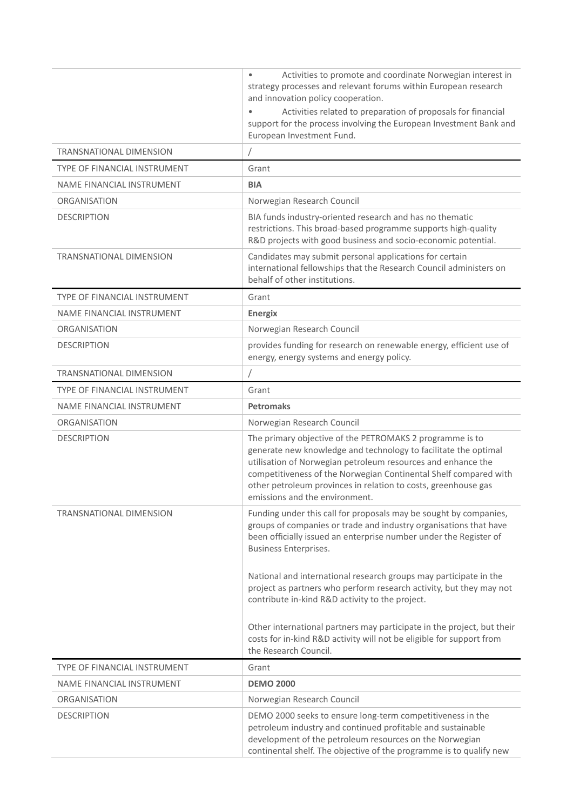|                                     | Activities to promote and coordinate Norwegian interest in<br>$\bullet$<br>strategy processes and relevant forums within European research<br>and innovation policy cooperation.                                                                                                                                                                                    |
|-------------------------------------|---------------------------------------------------------------------------------------------------------------------------------------------------------------------------------------------------------------------------------------------------------------------------------------------------------------------------------------------------------------------|
|                                     | Activities related to preparation of proposals for financial<br>support for the process involving the European Investment Bank and<br>European Investment Fund.                                                                                                                                                                                                     |
| <b>TRANSNATIONAL DIMENSION</b>      |                                                                                                                                                                                                                                                                                                                                                                     |
| <b>TYPE OF FINANCIAL INSTRUMENT</b> | Grant                                                                                                                                                                                                                                                                                                                                                               |
| NAME FINANCIAL INSTRUMENT           | <b>BIA</b>                                                                                                                                                                                                                                                                                                                                                          |
| <b>ORGANISATION</b>                 | Norwegian Research Council                                                                                                                                                                                                                                                                                                                                          |
| <b>DESCRIPTION</b>                  | BIA funds industry-oriented research and has no thematic<br>restrictions. This broad-based programme supports high-quality<br>R&D projects with good business and socio-economic potential.                                                                                                                                                                         |
| <b>TRANSNATIONAL DIMENSION</b>      | Candidates may submit personal applications for certain<br>international fellowships that the Research Council administers on<br>behalf of other institutions.                                                                                                                                                                                                      |
| <b>TYPE OF FINANCIAL INSTRUMENT</b> | Grant                                                                                                                                                                                                                                                                                                                                                               |
| NAME FINANCIAL INSTRUMENT           | <b>Energix</b>                                                                                                                                                                                                                                                                                                                                                      |
| <b>ORGANISATION</b>                 | Norwegian Research Council                                                                                                                                                                                                                                                                                                                                          |
| <b>DESCRIPTION</b>                  | provides funding for research on renewable energy, efficient use of<br>energy, energy systems and energy policy.                                                                                                                                                                                                                                                    |
| <b>TRANSNATIONAL DIMENSION</b>      |                                                                                                                                                                                                                                                                                                                                                                     |
| TYPE OF FINANCIAL INSTRUMENT        | Grant                                                                                                                                                                                                                                                                                                                                                               |
| NAME FINANCIAL INSTRUMENT           | <b>Petromaks</b>                                                                                                                                                                                                                                                                                                                                                    |
| <b>ORGANISATION</b>                 | Norwegian Research Council                                                                                                                                                                                                                                                                                                                                          |
| <b>DESCRIPTION</b>                  | The primary objective of the PETROMAKS 2 programme is to<br>generate new knowledge and technology to facilitate the optimal<br>utilisation of Norwegian petroleum resources and enhance the<br>competitiveness of the Norwegian Continental Shelf compared with<br>other petroleum provinces in relation to costs, greenhouse gas<br>emissions and the environment. |
| <b>TRANSNATIONAL DIMENSION</b>      | Funding under this call for proposals may be sought by companies,<br>groups of companies or trade and industry organisations that have<br>been officially issued an enterprise number under the Register of<br><b>Business Enterprises.</b>                                                                                                                         |
|                                     | National and international research groups may participate in the<br>project as partners who perform research activity, but they may not<br>contribute in-kind R&D activity to the project.                                                                                                                                                                         |
|                                     | Other international partners may participate in the project, but their<br>costs for in-kind R&D activity will not be eligible for support from<br>the Research Council.                                                                                                                                                                                             |
| TYPE OF FINANCIAL INSTRUMENT        | Grant                                                                                                                                                                                                                                                                                                                                                               |
| NAME FINANCIAL INSTRUMENT           | <b>DEMO 2000</b>                                                                                                                                                                                                                                                                                                                                                    |
| <b>ORGANISATION</b>                 | Norwegian Research Council                                                                                                                                                                                                                                                                                                                                          |
| <b>DESCRIPTION</b>                  | DEMO 2000 seeks to ensure long-term competitiveness in the<br>petroleum industry and continued profitable and sustainable<br>development of the petroleum resources on the Norwegian<br>continental shelf. The objective of the programme is to qualify new                                                                                                         |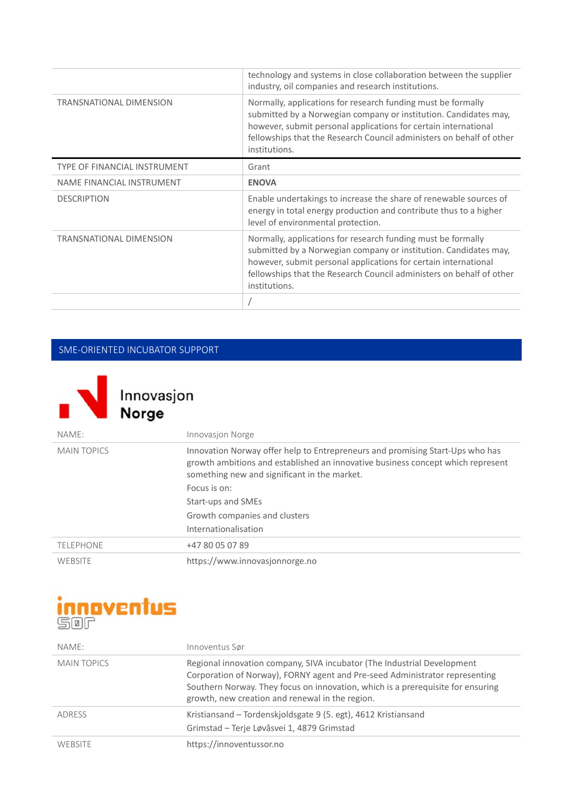|                                     | technology and systems in close collaboration between the supplier<br>industry, oil companies and research institutions.                                                                                                                                                                     |
|-------------------------------------|----------------------------------------------------------------------------------------------------------------------------------------------------------------------------------------------------------------------------------------------------------------------------------------------|
| TRANSNATIONAL DIMENSION             | Normally, applications for research funding must be formally<br>submitted by a Norwegian company or institution. Candidates may,<br>however, submit personal applications for certain international<br>fellowships that the Research Council administers on behalf of other<br>institutions. |
| <b>TYPE OF FINANCIAL INSTRUMENT</b> | Grant                                                                                                                                                                                                                                                                                        |
| NAME FINANCIAL INSTRUMENT           | <b>ENOVA</b>                                                                                                                                                                                                                                                                                 |
| <b>DESCRIPTION</b>                  | Enable undertakings to increase the share of renewable sources of<br>energy in total energy production and contribute thus to a higher<br>level of environmental protection.                                                                                                                 |
| <b>TRANSNATIONAL DIMENSION</b>      | Normally, applications for research funding must be formally<br>submitted by a Norwegian company or institution. Candidates may,<br>however, submit personal applications for certain international<br>fellowships that the Research Council administers on behalf of other<br>institutions. |
|                                     |                                                                                                                                                                                                                                                                                              |

# SME‐ORIENTED INCUBATOR SUPPORT



| NAME:              | Innovasion Norge                                                                                                                                                                                                 |
|--------------------|------------------------------------------------------------------------------------------------------------------------------------------------------------------------------------------------------------------|
| <b>MAIN TOPICS</b> | Innovation Norway offer help to Entrepreneurs and promising Start-Ups who has<br>growth ambitions and established an innovative business concept which represent<br>something new and significant in the market. |
|                    | Focus is on:                                                                                                                                                                                                     |
|                    | Start-ups and SMEs                                                                                                                                                                                               |
|                    | Growth companies and clusters                                                                                                                                                                                    |
|                    | Internationalisation                                                                                                                                                                                             |
| <b>TELEPHONE</b>   | +47 80 05 07 89                                                                                                                                                                                                  |
| WEBSITE            | https://www.innovasjonnorge.no                                                                                                                                                                                   |



| NAME:              | Innoventus Sør                                                                                                                                                                                                                                                                               |
|--------------------|----------------------------------------------------------------------------------------------------------------------------------------------------------------------------------------------------------------------------------------------------------------------------------------------|
| <b>MAIN TOPICS</b> | Regional innovation company, SIVA incubator (The Industrial Development<br>Corporation of Norway), FORNY agent and Pre-seed Administrator representing<br>Southern Norway. They focus on innovation, which is a prerequisite for ensuring<br>growth, new creation and renewal in the region. |
| <b>ADRESS</b>      | Kristiansand – Tordenskjoldsgate 9 (5. egt), 4612 Kristiansand<br>Grimstad - Terje Løvåsvei 1, 4879 Grimstad                                                                                                                                                                                 |
| <b>WEBSITE</b>     | https://innoventussor.no                                                                                                                                                                                                                                                                     |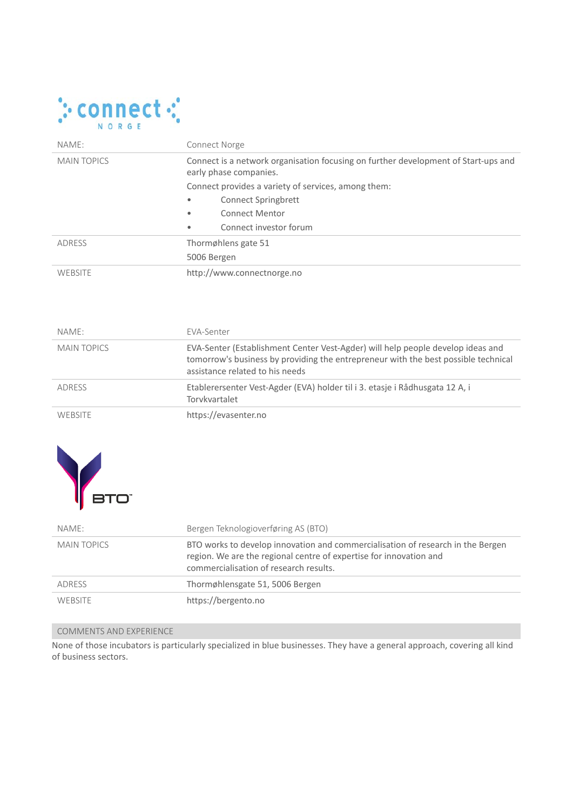

| NAME:              | <b>Connect Norge</b>                                                                                         |  |
|--------------------|--------------------------------------------------------------------------------------------------------------|--|
| <b>MAIN TOPICS</b> | Connect is a network organisation focusing on further development of Start-ups and<br>early phase companies. |  |
|                    | Connect provides a variety of services, among them:                                                          |  |
|                    | Connect Springbrett<br>٠                                                                                     |  |
|                    | <b>Connect Mentor</b><br>$\bullet$                                                                           |  |
|                    | Connect investor forum<br>$\bullet$                                                                          |  |
| ADRESS             | Thormøhlens gate 51                                                                                          |  |
|                    | 5006 Bergen                                                                                                  |  |
| WEBSITE            | http://www.connectnorge.no                                                                                   |  |

| NAME:              | FVA-Senter                                                                                                                                                                                               |
|--------------------|----------------------------------------------------------------------------------------------------------------------------------------------------------------------------------------------------------|
| <b>MAIN TOPICS</b> | EVA-Senter (Establishment Center Vest-Agder) will help people develop ideas and<br>tomorrow's business by providing the entrepreneur with the best possible technical<br>assistance related to his needs |
| ADRESS             | Etablerersenter Vest-Agder (EVA) holder til i 3. etasje i Rådhusgata 12 A, i<br>Torvkvartalet                                                                                                            |
| <b>WEBSITE</b>     | https://evasenter.no                                                                                                                                                                                     |



| NAME:              | Bergen Teknologioverføring AS (BTO)                                                                                                                                                             |
|--------------------|-------------------------------------------------------------------------------------------------------------------------------------------------------------------------------------------------|
| <b>MAIN TOPICS</b> | BTO works to develop innovation and commercialisation of research in the Bergen<br>region. We are the regional centre of expertise for innovation and<br>commercialisation of research results. |
| ADRESS             | Thormøhlensgate 51, 5006 Bergen                                                                                                                                                                 |
| <b>WEBSITE</b>     | https://bergento.no                                                                                                                                                                             |

### COMMENTS AND EXPERIENCE

None of those incubators is particularly specialized in blue businesses. They have a general approach, covering all kind of business sectors.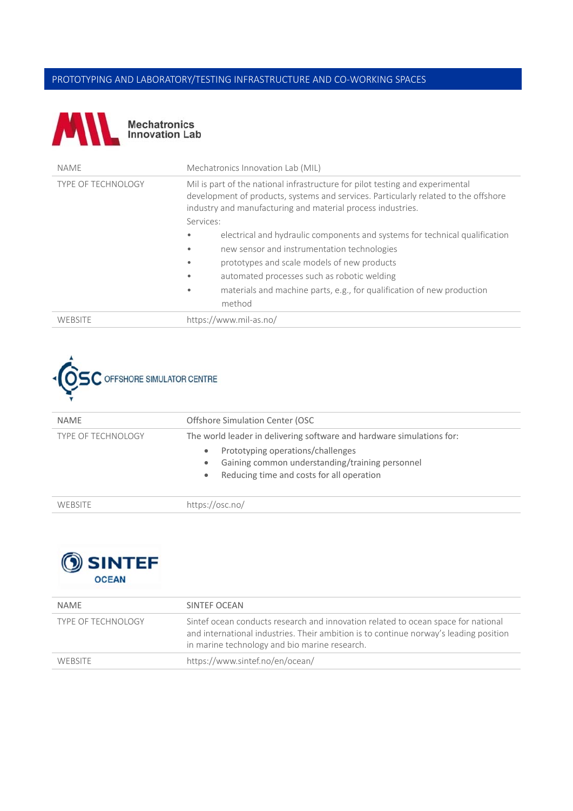# PROTOTYPING AND LABORATORY/TESTING INFRASTRUCTURE AND CO‐WORKING SPACES



| <b>NAME</b>               | Mechatronics Innovation Lab (MIL)                                                                                                                                                                                                   |
|---------------------------|-------------------------------------------------------------------------------------------------------------------------------------------------------------------------------------------------------------------------------------|
| <b>TYPE OF TECHNOLOGY</b> | Mil is part of the national infrastructure for pilot testing and experimental<br>development of products, systems and services. Particularly related to the offshore<br>industry and manufacturing and material process industries. |
|                           | Services:                                                                                                                                                                                                                           |
|                           | electrical and hydraulic components and systems for technical qualification<br>$\bullet$                                                                                                                                            |
|                           | new sensor and instrumentation technologies<br>$\bullet$                                                                                                                                                                            |
|                           | prototypes and scale models of new products                                                                                                                                                                                         |
|                           | automated processes such as robotic welding<br>$\bullet$                                                                                                                                                                            |
|                           | materials and machine parts, e.g., for qualification of new production<br>$\bullet$<br>method                                                                                                                                       |
|                           |                                                                                                                                                                                                                                     |
| WEBSITE                   | https://www.mil-as.no/                                                                                                                                                                                                              |



| <b>NAME</b>               | Offshore Simulation Center (OSC                                                                                                                                                                                                                   |
|---------------------------|---------------------------------------------------------------------------------------------------------------------------------------------------------------------------------------------------------------------------------------------------|
| <b>TYPE OF TECHNOLOGY</b> | The world leader in delivering software and hardware simulations for:<br>Prototyping operations/challenges<br>$\bullet$<br>Gaining common understanding/training personnel<br>$\bullet$<br>Reducing time and costs for all operation<br>$\bullet$ |
| WEBSITE                   | https://osc.no/                                                                                                                                                                                                                                   |



| NAME                      | SINTEF OCEAN                                                                                                                                                                                                                |
|---------------------------|-----------------------------------------------------------------------------------------------------------------------------------------------------------------------------------------------------------------------------|
| <b>TYPE OF TECHNOLOGY</b> | Sintef ocean conducts research and innovation related to ocean space for national<br>and international industries. Their ambition is to continue norway's leading position<br>in marine technology and bio marine research. |
| WEBSITE                   | https://www.sintef.no/en/ocean/                                                                                                                                                                                             |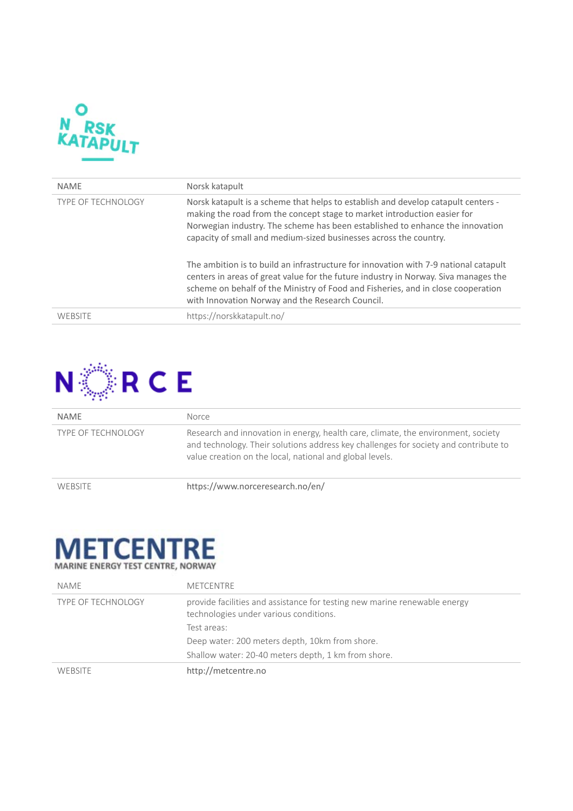

| <b>NAME</b>               | Norsk katapult                                                                                                                                                                                                                                                                                                      |
|---------------------------|---------------------------------------------------------------------------------------------------------------------------------------------------------------------------------------------------------------------------------------------------------------------------------------------------------------------|
| <b>TYPE OF TECHNOLOGY</b> | Norsk katapult is a scheme that helps to establish and develop catapult centers -<br>making the road from the concept stage to market introduction easier for<br>Norwegian industry. The scheme has been established to enhance the innovation<br>capacity of small and medium-sized businesses across the country. |
|                           | The ambition is to build an infrastructure for innovation with 7-9 national catapult<br>centers in areas of great value for the future industry in Norway. Siva manages the<br>scheme on behalf of the Ministry of Food and Fisheries, and in close cooperation<br>with Innovation Norway and the Research Council. |
| WEBSITE                   | https://norskkatapult.no/                                                                                                                                                                                                                                                                                           |



| <b>NAME</b>               | Norce                                                                                                                                                                                                                                 |
|---------------------------|---------------------------------------------------------------------------------------------------------------------------------------------------------------------------------------------------------------------------------------|
| <b>TYPE OF TECHNOLOGY</b> | Research and innovation in energy, health care, climate, the environment, society<br>and technology. Their solutions address key challenges for society and contribute to<br>value creation on the local, national and global levels. |
| <b>WEBSITE</b>            | https://www.norceresearch.no/en/                                                                                                                                                                                                      |



| NAME                      | METCENTRE                                                                                                           |
|---------------------------|---------------------------------------------------------------------------------------------------------------------|
| <b>TYPE OF TECHNOLOGY</b> | provide facilities and assistance for testing new marine renewable energy<br>technologies under various conditions. |
|                           | Test areas:                                                                                                         |
|                           | Deep water: 200 meters depth, 10km from shore.                                                                      |
|                           | Shallow water: 20-40 meters depth, 1 km from shore.                                                                 |
| <b>WERSITE</b>            | http://metcentre.no                                                                                                 |